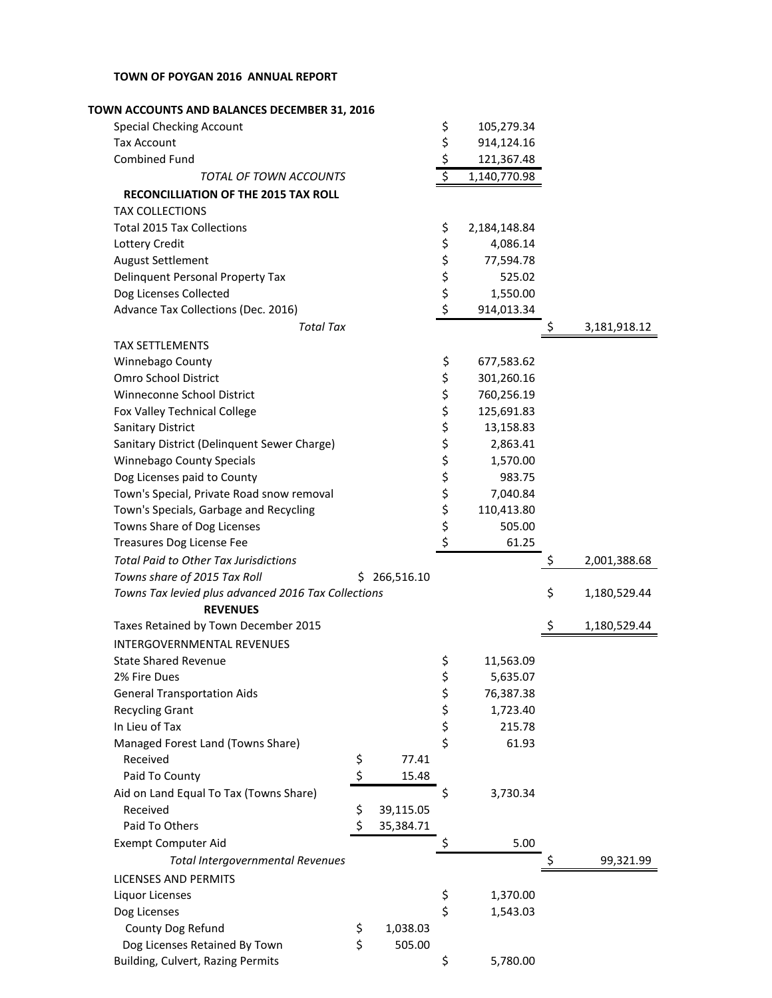## **TOWN OF POYGAN 2016 ANNUAL REPORT**

| TOWN ACCOUNTS AND BALANCES DECEMBER 31, 2016                           |                    |
|------------------------------------------------------------------------|--------------------|
| \$<br><b>Special Checking Account</b><br>105,279.34                    |                    |
| \$<br><b>Tax Account</b><br>914,124.16                                 |                    |
| \$<br><b>Combined Fund</b><br>121,367.48                               |                    |
| $\overline{\varsigma}$<br>1,140,770.98<br>TOTAL OF TOWN ACCOUNTS       |                    |
| <b>RECONCILLIATION OF THE 2015 TAX ROLL</b>                            |                    |
| <b>TAX COLLECTIONS</b>                                                 |                    |
| <b>Total 2015 Tax Collections</b><br>\$<br>2,184,148.84                |                    |
| \$<br>Lottery Credit<br>4,086.14                                       |                    |
| \$<br><b>August Settlement</b><br>77,594.78                            |                    |
| \$<br>Delinquent Personal Property Tax<br>525.02                       |                    |
| \$<br>Dog Licenses Collected<br>1,550.00                               |                    |
| \$<br>Advance Tax Collections (Dec. 2016)<br>914,013.34                |                    |
| <b>Total Tax</b>                                                       | 3,181,918.12       |
| <b>TAX SETTLEMENTS</b>                                                 |                    |
| \$<br>Winnebago County<br>677,583.62                                   |                    |
| \$<br>Omro School District<br>301,260.16                               |                    |
| \$<br>Winneconne School District<br>760,256.19                         |                    |
| \$<br>Fox Valley Technical College<br>125,691.83                       |                    |
| \$<br><b>Sanitary District</b><br>13,158.83                            |                    |
| \$<br>Sanitary District (Delinquent Sewer Charge)<br>2,863.41          |                    |
| \$<br>Winnebago County Specials<br>1,570.00                            |                    |
| \$<br>Dog Licenses paid to County<br>983.75                            |                    |
| \$<br>Town's Special, Private Road snow removal                        |                    |
| 7,040.84<br>\$                                                         |                    |
| Town's Specials, Garbage and Recycling<br>110,413.80                   |                    |
| \$<br>Towns Share of Dog Licenses<br>505.00<br>\$                      |                    |
| 61.25<br>Treasures Dog License Fee                                     |                    |
| <b>Total Paid to Other Tax Jurisdictions</b>                           | \$<br>2,001,388.68 |
| Towns share of 2015 Tax Roll<br>\$266,516.10                           |                    |
| Towns Tax levied plus advanced 2016 Tax Collections<br><b>REVENUES</b> | \$<br>1,180,529.44 |
| Taxes Retained by Town December 2015                                   | \$<br>1,180,529.44 |
| <b>INTERGOVERNMENTAL REVENUES</b>                                      |                    |
| \$<br><b>State Shared Revenue</b><br>11,563.09                         |                    |
| \$<br>2% Fire Dues<br>5,635.07                                         |                    |
| \$<br><b>General Transportation Aids</b><br>76,387.38                  |                    |
| \$<br><b>Recycling Grant</b><br>1,723.40                               |                    |
| \$<br>In Lieu of Tax<br>215.78                                         |                    |
| \$<br>Managed Forest Land (Towns Share)<br>61.93                       |                    |
| Received<br>77.41<br>\$                                                |                    |
| \$<br>Paid To County<br>15.48                                          |                    |
| Aid on Land Equal To Tax (Towns Share)<br>\$<br>3,730.34               |                    |
| \$<br>Received<br>39,115.05                                            |                    |
| \$<br>Paid To Others<br>35,384.71                                      |                    |
| \$<br>5.00<br><b>Exempt Computer Aid</b>                               |                    |
| <b>Total Intergovernmental Revenues</b>                                | 99,321.99          |
| <b>LICENSES AND PERMITS</b>                                            |                    |
| 1,370.00<br>Liquor Licenses<br>\$                                      |                    |
| \$<br>Dog Licenses<br>1,543.03                                         |                    |
| \$<br>County Dog Refund<br>1,038.03                                    |                    |
| \$<br>Dog Licenses Retained By Town<br>505.00                          |                    |
| Building, Culvert, Razing Permits<br>\$<br>5,780.00                    |                    |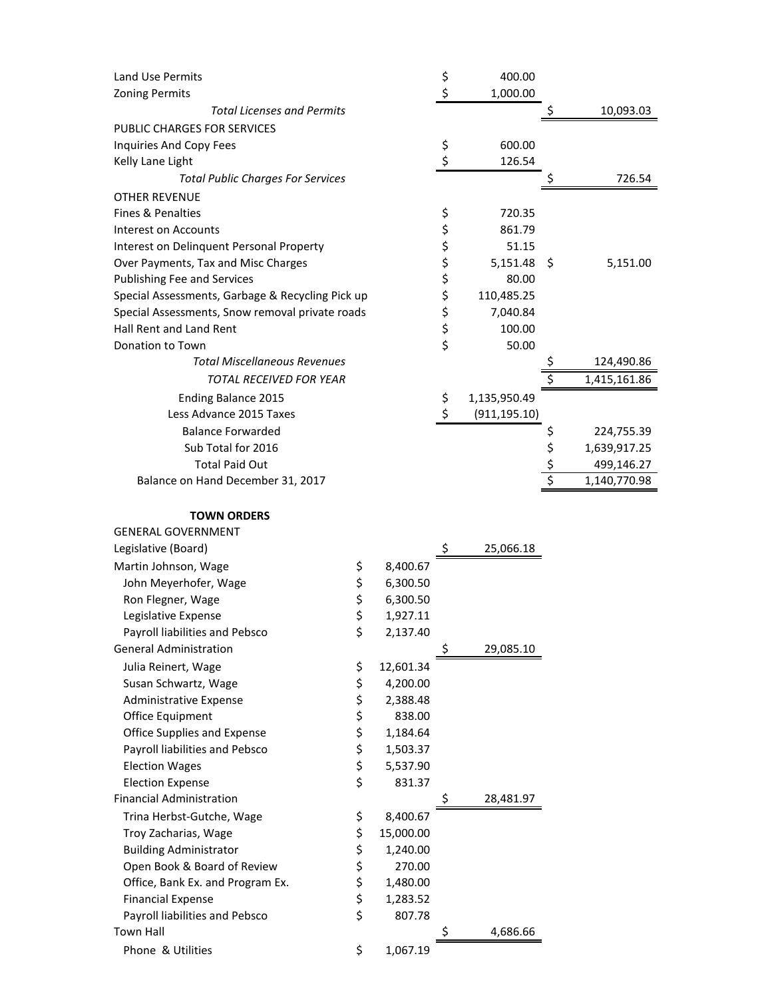| <b>Land Use Permits</b>                          | \$<br>400.00        |             |              |
|--------------------------------------------------|---------------------|-------------|--------------|
| <b>Zoning Permits</b>                            | \$<br>1,000.00      |             |              |
| <b>Total Licenses and Permits</b>                |                     |             | 10,093.03    |
| PUBLIC CHARGES FOR SERVICES                      |                     |             |              |
| Inquiries And Copy Fees                          | \$<br>600.00        |             |              |
| Kelly Lane Light                                 | \$<br>126.54        |             |              |
| <b>Total Public Charges For Services</b>         |                     |             | 726.54       |
| <b>OTHER REVENUE</b>                             |                     |             |              |
| Fines & Penalties                                | \$<br>720.35        |             |              |
| Interest on Accounts                             | \$<br>861.79        |             |              |
| Interest on Delinquent Personal Property         | \$<br>51.15         |             |              |
| Over Payments, Tax and Misc Charges              | \$<br>$5,151.48$ \$ |             | 5,151.00     |
| <b>Publishing Fee and Services</b>               | \$<br>80.00         |             |              |
| Special Assessments, Garbage & Recycling Pick up | \$<br>110,485.25    |             |              |
| Special Assessments, Snow removal private roads  | \$<br>7,040.84      |             |              |
| Hall Rent and Land Rent                          | \$<br>100.00        |             |              |
| Donation to Town                                 | \$<br>50.00         |             |              |
| <b>Total Miscellaneous Revenues</b>              |                     |             | 124,490.86   |
| <b>TOTAL RECEIVED FOR YEAR</b>                   |                     | \$          | 1,415,161.86 |
| <b>Ending Balance 2015</b>                       | \$<br>1,135,950.49  |             |              |
| Less Advance 2015 Taxes                          | \$<br>(911, 195.10) |             |              |
| <b>Balance Forwarded</b>                         |                     | Ş           | 224,755.39   |
| Sub Total for 2016                               |                     | \$          | 1,639,917.25 |
| <b>Total Paid Out</b>                            |                     | $rac{5}{5}$ | 499,146.27   |
| Balance on Hand December 31, 2017                |                     |             | 1,140,770.98 |
|                                                  |                     |             |              |

## **TOWN ORDERS**  GENERAL GOVERNMENT

| GENERAL GOVERNMENT                 |          |           |                 |
|------------------------------------|----------|-----------|-----------------|
| Legislative (Board)                |          |           | \$<br>25,066.18 |
| Martin Johnson, Wage               | \$       | 8,400.67  |                 |
| John Meyerhofer, Wage              | \$       | 6,300.50  |                 |
| Ron Flegner, Wage                  | \$       | 6,300.50  |                 |
| Legislative Expense                | \$       | 1,927.11  |                 |
| Payroll liabilities and Pebsco     | \$       | 2,137.40  |                 |
| <b>General Administration</b>      |          |           | \$<br>29,085.10 |
| Julia Reinert, Wage                | \$       | 12,601.34 |                 |
| Susan Schwartz, Wage               | \$       | 4,200.00  |                 |
| Administrative Expense             | \$       | 2,388.48  |                 |
| Office Equipment                   | \$       | 838.00    |                 |
| <b>Office Supplies and Expense</b> | \$       | 1,184.64  |                 |
| Payroll liabilities and Pebsco     | \$<br>\$ | 1,503.37  |                 |
| <b>Election Wages</b>              |          | 5,537.90  |                 |
| <b>Election Expense</b>            | \$       | 831.37    |                 |
| <b>Financial Administration</b>    |          |           | 28,481.97       |
| Trina Herbst-Gutche, Wage          | \$       | 8,400.67  |                 |
| Troy Zacharias, Wage               | \$       | 15,000.00 |                 |
| <b>Building Administrator</b>      | \$       | 1,240.00  |                 |
| Open Book & Board of Review        | \$       | 270.00    |                 |
| Office, Bank Ex. and Program Ex.   | \$       | 1,480.00  |                 |
| <b>Financial Expense</b>           | \$       | 1,283.52  |                 |
| Payroll liabilities and Pebsco     | \$       | 807.78    |                 |
| Town Hall                          |          |           | 4,686.66        |
| Phone & Utilities                  | \$       | 1,067.19  |                 |
|                                    |          |           |                 |